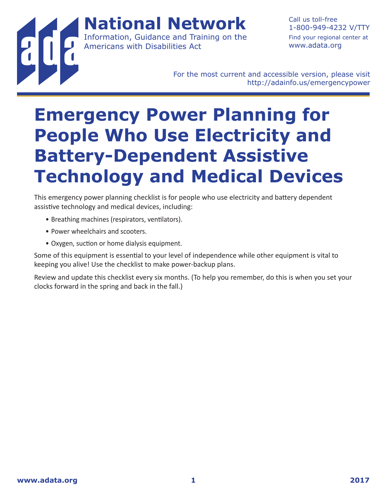**National Network** Information, Guidance and Training on the Americans with Disabilities Act

1-800-949-4232 V/TTY Find your regional center at www.adata.org

Call us toll-free

For the most current and accessible version, please visit http://adainfo.us/emergencypower

## **Emergency Power Planning for People Who Use Electricity and Battery-Dependent Assistive Technology and Medical Devices**

This emergency power planning checklist is for people who use electricity and battery dependent assistive technology and medical devices, including:

- Breathing machines (respirators, ventilators).
- Power wheelchairs and scooters.
- Oxygen, suction or home dialysis equipment.

Some of this equipment is essential to your level of independence while other equipment is vital to keeping you alive! Use the checklist to make power-backup plans.

Review and update this checklist every six months. (To help you remember, do this is when you set your clocks forward in the spring and back in the fall.)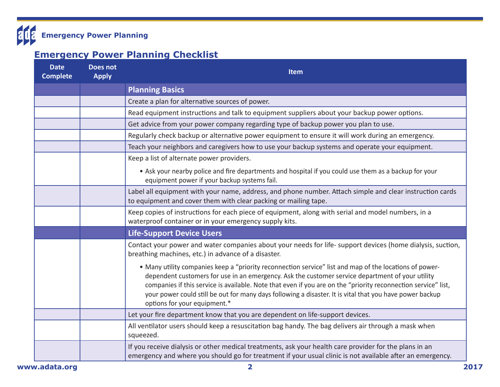

## **Emergency Power Planning Checklist**

| <b>Date</b><br><b>Complete</b> | <b>Does not</b><br><b>Apply</b> | Item                                                                                                                                                                                                                                                                                                                                                                                                                                                                      |
|--------------------------------|---------------------------------|---------------------------------------------------------------------------------------------------------------------------------------------------------------------------------------------------------------------------------------------------------------------------------------------------------------------------------------------------------------------------------------------------------------------------------------------------------------------------|
|                                |                                 | <b>Planning Basics</b>                                                                                                                                                                                                                                                                                                                                                                                                                                                    |
|                                |                                 | Create a plan for alternative sources of power.                                                                                                                                                                                                                                                                                                                                                                                                                           |
|                                |                                 | Read equipment instructions and talk to equipment suppliers about your backup power options.                                                                                                                                                                                                                                                                                                                                                                              |
|                                |                                 | Get advice from your power company regarding type of backup power you plan to use.                                                                                                                                                                                                                                                                                                                                                                                        |
|                                |                                 | Regularly check backup or alternative power equipment to ensure it will work during an emergency.                                                                                                                                                                                                                                                                                                                                                                         |
|                                |                                 | Teach your neighbors and caregivers how to use your backup systems and operate your equipment.                                                                                                                                                                                                                                                                                                                                                                            |
|                                |                                 | Keep a list of alternate power providers.                                                                                                                                                                                                                                                                                                                                                                                                                                 |
|                                |                                 | • Ask your nearby police and fire departments and hospital if you could use them as a backup for your<br>equipment power if your backup systems fail.                                                                                                                                                                                                                                                                                                                     |
|                                |                                 | Label all equipment with your name, address, and phone number. Attach simple and clear instruction cards<br>to equipment and cover them with clear packing or mailing tape.                                                                                                                                                                                                                                                                                               |
|                                |                                 | Keep copies of instructions for each piece of equipment, along with serial and model numbers, in a<br>waterproof container or in your emergency supply kits.                                                                                                                                                                                                                                                                                                              |
|                                |                                 | <b>Life-Support Device Users</b>                                                                                                                                                                                                                                                                                                                                                                                                                                          |
|                                |                                 | Contact your power and water companies about your needs for life- support devices (home dialysis, suction,<br>breathing machines, etc.) in advance of a disaster.                                                                                                                                                                                                                                                                                                         |
|                                |                                 | • Many utility companies keep a "priority reconnection service" list and map of the locations of power-<br>dependent customers for use in an emergency. Ask the customer service department of your utility<br>companies if this service is available. Note that even if you are on the "priority reconnection service" list,<br>your power could still be out for many days following a disaster. It is vital that you have power backup<br>options for your equipment.* |
|                                |                                 | Let your fire department know that you are dependent on life-support devices.                                                                                                                                                                                                                                                                                                                                                                                             |
|                                |                                 | All ventilator users should keep a resuscitation bag handy. The bag delivers air through a mask when<br>squeezed.                                                                                                                                                                                                                                                                                                                                                         |
|                                |                                 | If you receive dialysis or other medical treatments, ask your health care provider for the plans in an<br>emergency and where you should go for treatment if your usual clinic is not available after an emergency.                                                                                                                                                                                                                                                       |
| www.adata.org                  |                                 | $\overline{\mathbf{2}}$                                                                                                                                                                                                                                                                                                                                                                                                                                                   |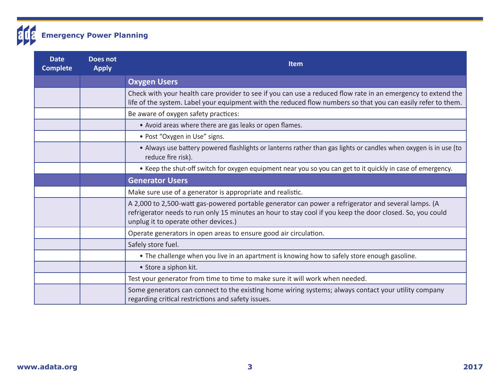

| <b>Date</b><br><b>Complete</b> | <b>Does not</b><br><b>Apply</b> | <b>Item</b>                                                                                                                                                                                                                                              |
|--------------------------------|---------------------------------|----------------------------------------------------------------------------------------------------------------------------------------------------------------------------------------------------------------------------------------------------------|
|                                |                                 | <b>Oxygen Users</b>                                                                                                                                                                                                                                      |
|                                |                                 | Check with your health care provider to see if you can use a reduced flow rate in an emergency to extend the<br>life of the system. Label your equipment with the reduced flow numbers so that you can easily refer to them.                             |
|                                |                                 | Be aware of oxygen safety practices:                                                                                                                                                                                                                     |
|                                |                                 | • Avoid areas where there are gas leaks or open flames.                                                                                                                                                                                                  |
|                                |                                 | • Post "Oxygen in Use" signs.                                                                                                                                                                                                                            |
|                                |                                 | • Always use battery powered flashlights or lanterns rather than gas lights or candles when oxygen is in use (to<br>reduce fire risk).                                                                                                                   |
|                                |                                 | • Keep the shut-off switch for oxygen equipment near you so you can get to it quickly in case of emergency.                                                                                                                                              |
|                                |                                 | <b>Generator Users</b>                                                                                                                                                                                                                                   |
|                                |                                 | Make sure use of a generator is appropriate and realistic.                                                                                                                                                                                               |
|                                |                                 | A 2,000 to 2,500-watt gas-powered portable generator can power a refrigerator and several lamps. (A<br>refrigerator needs to run only 15 minutes an hour to stay cool if you keep the door closed. So, you could<br>unplug it to operate other devices.) |
|                                |                                 | Operate generators in open areas to ensure good air circulation.                                                                                                                                                                                         |
|                                |                                 | Safely store fuel.                                                                                                                                                                                                                                       |
|                                |                                 | . The challenge when you live in an apartment is knowing how to safely store enough gasoline.                                                                                                                                                            |
|                                |                                 | • Store a siphon kit.                                                                                                                                                                                                                                    |
|                                |                                 | Test your generator from time to time to make sure it will work when needed.                                                                                                                                                                             |
|                                |                                 | Some generators can connect to the existing home wiring systems; always contact your utility company<br>regarding critical restrictions and safety issues.                                                                                               |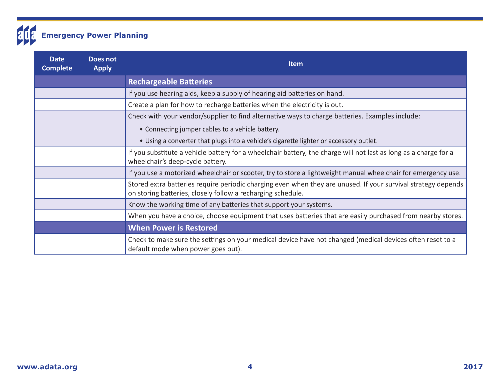

| <b>Date</b><br><b>Complete</b> | Does not<br><b>Apply</b> | <b>Item</b>                                                                                                                                                                  |
|--------------------------------|--------------------------|------------------------------------------------------------------------------------------------------------------------------------------------------------------------------|
|                                |                          | <b>Rechargeable Batteries</b>                                                                                                                                                |
|                                |                          | If you use hearing aids, keep a supply of hearing aid batteries on hand.                                                                                                     |
|                                |                          | Create a plan for how to recharge batteries when the electricity is out.                                                                                                     |
|                                |                          | Check with your vendor/supplier to find alternative ways to charge batteries. Examples include:                                                                              |
|                                |                          | • Connecting jumper cables to a vehicle battery.                                                                                                                             |
|                                |                          | . Using a converter that plugs into a vehicle's cigarette lighter or accessory outlet.                                                                                       |
|                                |                          | If you substitute a vehicle battery for a wheelchair battery, the charge will not last as long as a charge for a<br>wheelchair's deep-cycle battery.                         |
|                                |                          | If you use a motorized wheelchair or scooter, try to store a lightweight manual wheelchair for emergency use.                                                                |
|                                |                          | Stored extra batteries require periodic charging even when they are unused. If your survival strategy depends<br>on storing batteries, closely follow a recharging schedule. |
|                                |                          | Know the working time of any batteries that support your systems.                                                                                                            |
|                                |                          | When you have a choice, choose equipment that uses batteries that are easily purchased from nearby stores.                                                                   |
|                                |                          | <b>When Power is Restored</b>                                                                                                                                                |
|                                |                          | Check to make sure the settings on your medical device have not changed (medical devices often reset to a<br>default mode when power goes out).                              |